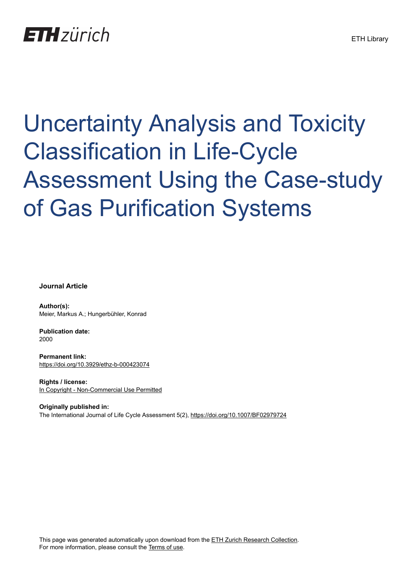## **ETH** zürich

# Uncertainty Analysis and Toxicity Classification in Life-Cycle Assessment Using the Case-study of Gas Purification Systems

**Journal Article**

**Author(s):** Meier, Markus A.; Hungerbühler, Konrad

**Publication date:** 2000

**Permanent link:** <https://doi.org/10.3929/ethz-b-000423074>

**Rights / license:** [In Copyright - Non-Commercial Use Permitted](http://rightsstatements.org/page/InC-NC/1.0/)

**Originally published in:** The International Journal of Life Cycle Assessment 5(2), <https://doi.org/10.1007/BF02979724>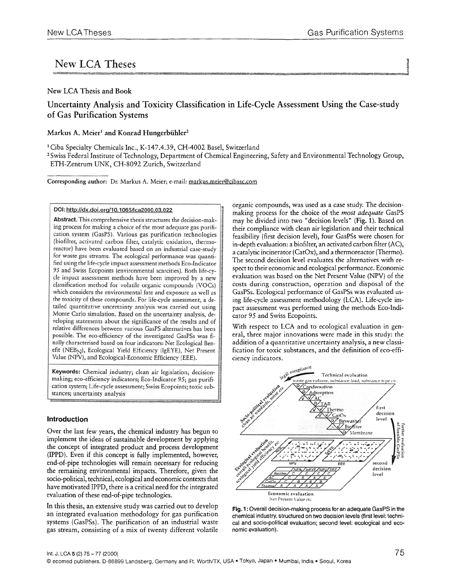### New LCA Theses

#### New LCA Thesis and Book

#### Uncertainty Analysis and Toxicity Classification in Life-Cycle Assessment Using the Case-study of Gas Purification Systems

#### Markus A. Meier<sup>1</sup> and Konrad Hungerbühler<sup>2</sup>

1Ciba Specialty Chemicals Inc., K-147.4.39, CH-4002 Basel, Switzerland

<sup>2</sup> Swiss Federal Institute of Technology, Department of Chemical Engineering, Safety and Environmental Technology Group, ETH-Zentrum UNK, CH-8092 Zurich, Switzerland

Corresponding author: Dr. Markus A. Meier; e-mail: markus.meier@cibasc.com

DOI: http://dx.doi.org/10.1065/lca2000.03.022

Abstract. This comprehensive thesis structures the decision-making process for making a choice of the most adequate gas purification system (GasPS). Various gas purification technologies (biofilter, activated carbon filter, catalytic oxidation, thermoreactor) have been evaluated based on an industrial case-study for waste gas streams. The ecological performance was quantified using the life-cycle impact assessment methods Eco-Indicator 95 and Swiss Ecopoints (environmental scarcities). Both life-cycle impact assessment methods have been improved by a new classification method for volatile organic compounds (VOCs) which considers the environmental fate and exposure as well as the toxicity of these compounds. For life-cycle assessment, a detailed quantitative uncertainty analysis was carried out using Monte Carlo simulation. Based on the uncertainty analysis, developing statements about the significance of the results and of relative differences between various GasPS alternatives has been possible. The eco-efficiency of the investigated GasPSs was finally characterised based on four indicators: Net Ecological Benefit (NEB<sub>N</sub>), Ecological Yield Efficiency (lgEYE), Net Present Value (NPV), and Ecological-Economic Efficiency (EEE).

Keywords: Chemical industry; clean air legislation; decisionmaking; eco-efficiency indicators; Eco-Indicator 95; gas purification system; Life-cycle assessment; Swiss Ecopoints; toxic substances; uncertainty analysis

#### **Introduction**

Over the last few years, the chemical industry has begun to implement the ideas of sustainable development by applying the concept of integrated product and process development (II'PD). Even if this concept is fully implemented, however, end-of-pipe technologies will remain necessary for reducing the remaining environmental impacts. Therefore, given the socio-political, technical, ecological and economic contexts that have motivated IPPD, there is a critical need for the integrated evaluation of these end-of-pipe technologies.

In this thesis, an extensive study was carried out to develop an integrated evaluation methodology for gas purification systems (GasPSs). The purification of an industrial waste gas stream, consisting of a mix of twenty different volatile organic compounds, was used as a case study. The decisionmaking process for the choice of the *most adequate* GasPS may be divided into two "decision levels" (Fig. 1). Based on their compliance with clean air legislation and their technical feasibility (first decision level), four GasPSs were chosen for in-depth evaluation: a biofilter, an activated carbon filter (AC), a catalytic incinerator (CatOx), and a thermoreactor (Thermo). The second decision level evaluates the alternatives with respect to their economic and ecological performance. Economic evaluation was based on the Net Present Value (NPV) of the costs during construction, operation and disposal of the GasPSs. Ecological performance of GasPSs was evaluated using life-cycle assessment methodology (LCA). Life-cycle impact assessment was performed using the methods Eco-Indicator 95 and Swiss Ecopoints.

With respect to LCA and to ecological evaluation in general, three major innovations were made in this study: the addition of a quantitative uncertainty analysis, a new classification for toxic substances, and the definition of eco-efficiency indicators.



**Fig. 1:** Overall decision-making process for an adequate GasPS in the chemical industry, structured on two decision levels (first level: technical and socio-political evaluation; second level: ecological and economic evaluation).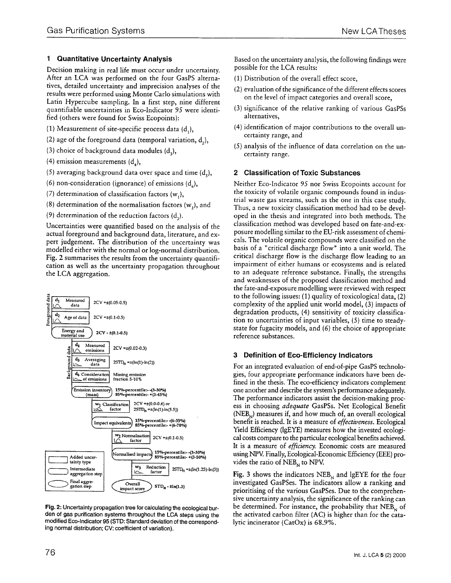#### **1 Quantitative Uncertainty Analysis**

Decision making in real life must occur under uncertainty. After an LCA was performed on the four GasPS alternatives, detailed uncertainty and imprecision analyses of the results were performed using Monte Carlo simulations with Latin Hypercube sampling. In a first step, nine different quantifiable uncertainties in Eco-Indicator 95 were identified (others were found for Swiss Ecopoints):

- (1) Measurement of site-specific process data  $(d<sub>1</sub>)$ ,
- (2) age of the foreground data (temporal variation,  $d_2$ ),
- (3) choice of background data modules  $(d<sub>1</sub>)$ ,
- (4) emission measurements  $(d_1)$ ,
- (5) averaging background data over space and time  $(d_1)$ ,
- (6) non-consideration (ignorance) of emissions  $(d_2)$ ,
- (7) determination of classification factors  $(w_1)$ ,
- (8) determination of the normalisation factors  $(w_2)$ , and

(9) determination of the reduction factors  $(d<sub>3</sub>)$ .

Uncertainties were quantified based on the analysis of the actual foreground and background data, literature, and expert judgement. The distribution of the uncertainty was modelled either with the normal or log-normal distribution. Fig. 2 summarises the results from the uncertainty quantification as well as the uncertainty propagation throughout the LCA aggregation.



**Fig. 2: Uncertainty propagation tree for** calculating the ecological burden **of gas purification systems throughout the LCA steps using the modified** Eco-lndicator 95 (STD: Standard deviation of **the corresponding** normal distribution; CV: coefficient of variation).

Based on the uncertainty analysis, the following findings were possible for the LCA results:

- (1) Distribution of the overall effect score,
- (2) evaluation of the significance of the different effects scores on the level of impact categories and overall score,
- (3) significance of the relative ranking of various GasPSs alternatives,
- (4) identification of major contributions to the overall uncertainty range, and
- (5) analysis of the influence of data correlation on the uncertainty range.

#### **2 Classification of Toxic Substances**

Neither Eco-Indicator 95 nor Swiss Ecopoints account for the toxicity of volatile organic compounds found in industrial waste gas streams, such as the one in this case study. Thus, a new toxicity classification method had to be developed in the thesis and integrated into both methods. The classification method was developed based on fate-and-exposure modelling similar to the EU-risk assessment of chemicals. The volatile organic compounds were classified on the basis of a "critical discharge flow" into a unit world. The critical discharge flow is the discharge flow leading to an impairment of either humans or ecosystems and is related to an adequate reference substance. Finally, the strengths and weaknesses of the proposed classification method and the fate-and-exposure modelling were reviewed with respect to the following issues: (1) quality of toxicological data, (2) complexity of the applied unit world model, (3) impacts of degradation products, (4) sensitivity of toxicity classification to uncertainties of input variables, (5) time to steadystate for fugacity models, and (6) the choice of appropriate reference substances.

#### **3 Definition of Eco-Efficiency Indicators**

For an integrated evaluation of end-of-pipe GasPS technologies, four appropriate performance indicators have been defined in the thesis. The eco-efficiency indicators complement one another and describe the system's performance adequately. The performance indicators assist the decision-making process in choosing *adequate* GasPSs. Net Ecological Benefit  $(NEB<sub>N</sub>)$  measures if, and how much of, an overall ecological benefit is reached. It is a measure of *effectiveness.* Ecological Yield Efficiency (IgEYE) measures how the invested ecological costs compare to the particular ecological benefits achieved. It is a measure of *efficiency.* Economic costs are measured using NPV. Finally, Ecological-Economic Efficiency (EEE) provides the ratio of  $NEB<sub>N</sub>$  to NPV.

Fig. 3 shows the indicators  $NEB<sub>N</sub>$  and lgEYE for the four investigated GasPSes. The indicators allow a ranking and prioritising of the various GasPSes. Due to the comprehensive uncertainty analysis, the significance of the ranking can be determined. For instance, the probability that  $NEB<sub>N</sub>$  of the activated carbon filter (AC) is higher than for the catalytic incinerator (CatOx) is 68.9%.